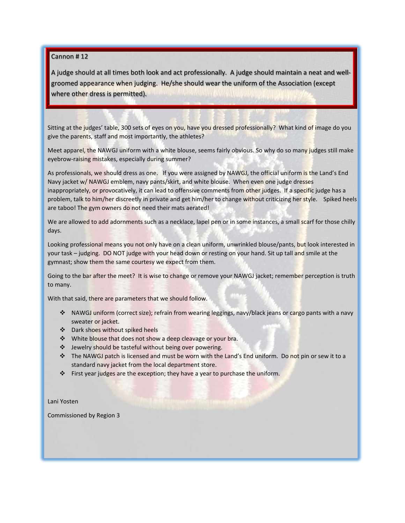## Cannon # 12

A judge should at all times both look and act professionally. A judge should maintain a neat and wellgroomed appearance when judging. He/she should wear the uniform of the Association (except where other dress is permitted).

Sitting at the judges' table, 300 sets of eyes on you, have you dressed professionally? What kind of image do you give the parents, staff and most importantly, the athletes?

Meet apparel, the NAWGJ uniform with a white blouse, seems fairly obvious. So why do so many judges still make eyebrow-raising mistakes, especially during summer?

As professionals, we should dress as one. If you were assigned by NAWGJ, the official uniform is the Land's End Navy jacket w/ NAWGJ emblem, navy pants/skirt, and white blouse. When even one judge dresses inappropriately, or provocatively, it can lead to offensive comments from other judges. If a specific judge has a problem, talk to him/her discreetly in private and get him/her to change without criticizing her style. Spiked heels are taboo! The gym owners do not need their mats aerated!

We are allowed to add adornments such as a necklace, lapel pen or in some instances, a small scarf for those chilly days.

Looking professional means you not only have on a clean uniform, unwrinkled blouse/pants, but look interested in your task – judging. DO NOT judge with your head down or resting on your hand. Sit up tall and smile at the gymnast; show them the same courtesy we expect from them.

Going to the bar after the meet? It is wise to change or remove your NAWGJ jacket; remember perception is truth to many.

With that said, there are parameters that we should follow.

- ◆ NAWGJ uniform (correct size); refrain from wearing leggings, navy/black jeans or cargo pants with a navy sweater or jacket.
- Dark shoes without spiked heels
- White blouse that does not show a deep cleavage or your bra.
- ❖ Jewelry should be tasteful without being over powering.
- The NAWGJ patch is licensed and must be worn with the Land's End uniform. Do not pin or sew it to a standard navy jacket from the local department store.
- First year judges are the exception; they have a year to purchase the uniform.

Lani Yosten

Commissioned by Region 3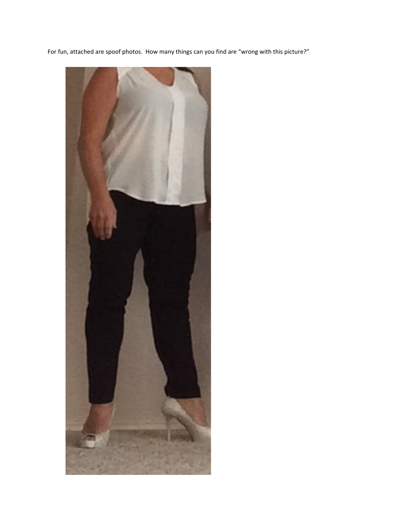For fun, attached are spoof photos. How many things can you find are "wrong with this picture?"

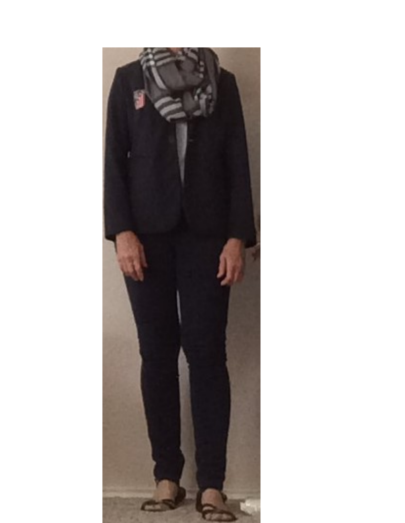